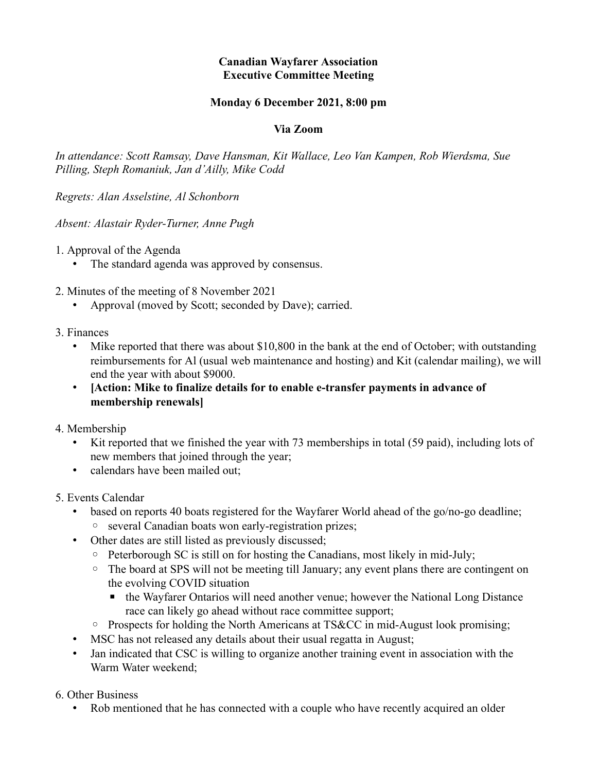## **Canadian Wayfarer Association Executive Committee Meeting**

## **Monday 6 December 2021, 8:00 pm**

## **Via Zoom**

*In attendance: Scott Ramsay, Dave Hansman, Kit Wallace, Leo Van Kampen, Rob Wierdsma, Sue Pilling, Steph Romaniuk, Jan d'Ailly, Mike Codd*

*Regrets: Alan Asselstine, Al Schonborn*

*Absent: Alastair Ryder-Turner, Anne Pugh*

1. Approval of the Agenda

• The standard agenda was approved by consensus.

2. Minutes of the meeting of 8 November 2021

- Approval (moved by Scott; seconded by Dave); carried.
- 3. Finances
	- Mike reported that there was about \$10,800 in the bank at the end of October; with outstanding reimbursements for Al (usual web maintenance and hosting) and Kit (calendar mailing), we will end the year with about \$9000.
	- **[Action: Mike to finalize details for to enable e-transfer payments in advance of membership renewals]**

## 4. Membership

- Kit reported that we finished the year with 73 memberships in total (59 paid), including lots of new members that joined through the year;
- calendars have been mailed out;
- 5. Events Calendar
	- based on reports 40 boats registered for the Wayfarer World ahead of the go/no-go deadline;
	- several Canadian boats won early-registration prizes;
	- Other dates are still listed as previously discussed;
		- Peterborough SC is still on for hosting the Canadians, most likely in mid-July;
		- The board at SPS will not be meeting till January; any event plans there are contingent on the evolving COVID situation
			- the Wayfarer Ontarios will need another venue; however the National Long Distance race can likely go ahead without race committee support;
		- Prospects for holding the North Americans at TS&CC in mid-August look promising;
	- MSC has not released any details about their usual regatta in August;
	- Jan indicated that CSC is willing to organize another training event in association with the Warm Water weekend;

6. Other Business

• Rob mentioned that he has connected with a couple who have recently acquired an older